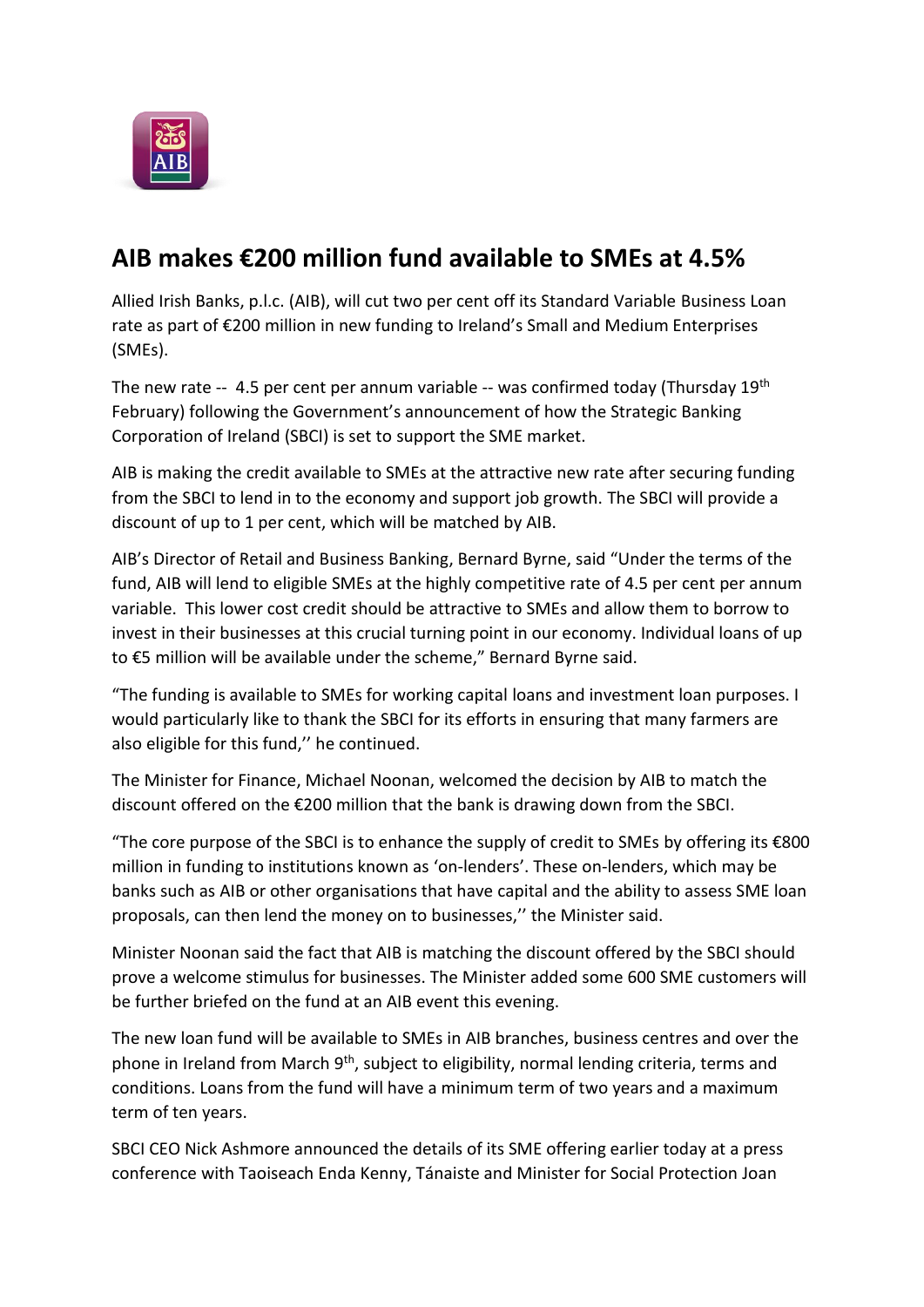

## **AIB makes €200 million fund available to SMEs at 4.5%**

Allied Irish Banks, p.l.c. (AIB), will cut two per cent off its Standard Variable Business Loan rate as part of €200 million in new funding to Ireland's Small and Medium Enterprises (SMEs).

The new rate  $-4.5$  per cent per annum variable  $-$  was confirmed today (Thursday 19<sup>th</sup>) February) following the Government's announcement of how the Strategic Banking Corporation of Ireland (SBCI) is set to support the SME market.

AIB is making the credit available to SMEs at the attractive new rate after securing funding from the SBCI to lend in to the economy and support job growth. The SBCI will provide a discount of up to 1 per cent, which will be matched by AIB.

AIB's Director of Retail and Business Banking, Bernard Byrne, said "Under the terms of the fund, AIB will lend to eligible SMEs at the highly competitive rate of 4.5 per cent per annum variable. This lower cost credit should be attractive to SMEs and allow them to borrow to invest in their businesses at this crucial turning point in our economy. Individual loans of up to €5 million will be available under the scheme," Bernard Byrne said.

"The funding is available to SMEs for working capital loans and investment loan purposes. I would particularly like to thank the SBCI for its efforts in ensuring that many farmers are also eligible for this fund,'' he continued.

The Minister for Finance, Michael Noonan, welcomed the decision by AIB to match the discount offered on the €200 million that the bank is drawing down from the SBCI.

"The core purpose of the SBCI is to enhance the supply of credit to SMEs by offering its  $\epsilon$ 800 million in funding to institutions known as 'on-lenders'. These on-lenders, which may be banks such as AIB or other organisations that have capital and the ability to assess SME loan proposals, can then lend the money on to businesses,'' the Minister said.

Minister Noonan said the fact that AIB is matching the discount offered by the SBCI should prove a welcome stimulus for businesses. The Minister added some 600 SME customers will be further briefed on the fund at an AIB event this evening.

The new loan fund will be available to SMEs in AIB branches, business centres and over the phone in Ireland from March 9<sup>th</sup>, subject to eligibility, normal lending criteria, terms and conditions. Loans from the fund will have a minimum term of two years and a maximum term of ten years.

SBCI CEO Nick Ashmore announced the details of its SME offering earlier today at a press conference with Taoiseach Enda Kenny, Tánaiste and Minister for Social Protection Joan